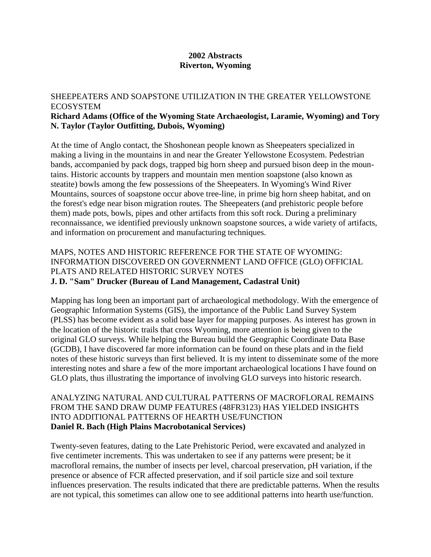#### **2002 Abstracts Riverton, Wyoming**

#### SHEEPEATERS AND SOAPSTONE UTILIZATION IN THE GREATER YELLOWSTONE ECOSYSTEM **Richard Adams (Office of the Wyoming State Archaeologist, Laramie, Wyoming) and Tory N. Taylor (Taylor Outfitting, Dubois, Wyoming)**

At the time of Anglo contact, the Shoshonean people known as Sheepeaters specialized in making a living in the mountains in and near the Greater Yellowstone Ecosystem. Pedestrian bands, accompanied by pack dogs, trapped big horn sheep and pursued bison deep in the mountains. Historic accounts by trappers and mountain men mention soapstone (also known as steatite) bowls among the few possessions of the Sheepeaters. In Wyoming's Wind River Mountains, sources of soapstone occur above tree-line, in prime big horn sheep habitat, and on the forest's edge near bison migration routes. The Sheepeaters (and prehistoric people before them) made pots, bowls, pipes and other artifacts from this soft rock. During a preliminary reconnaissance, we identified previously unknown soapstone sources, a wide variety of artifacts, and information on procurement and manufacturing techniques.

## MAPS, NOTES AND HISTORIC REFERENCE FOR THE STATE OF WYOMING: INFORMATION DISCOVERED ON GOVERNMENT LAND OFFICE (GLO) OFFICIAL PLATS AND RELATED HISTORIC SURVEY NOTES **J. D. "Sam" Drucker (Bureau of Land Management, Cadastral Unit)**

Mapping has long been an important part of archaeological methodology. With the emergence of Geographic Information Systems (GIS), the importance of the Public Land Survey System (PLSS) has become evident as a solid base layer for mapping purposes. As interest has grown in the location of the historic trails that cross Wyoming, more attention is being given to the original GLO surveys. While helping the Bureau build the Geographic Coordinate Data Base (GCDB), I have discovered far more information can be found on these plats and in the field notes of these historic surveys than first believed. It is my intent to disseminate some of the more interesting notes and share a few of the more important archaeological locations I have found on GLO plats, thus illustrating the importance of involving GLO surveys into historic research.

#### ANALYZING NATURAL AND CULTURAL PATTERNS OF MACROFLORAL REMAINS FROM THE SAND DRAW DUMP FEATURES (48FR3123) HAS YIELDED INSIGHTS INTO ADDITIONAL PATTERNS OF HEARTH USE/FUNCTION **Daniel R. Bach (High Plains Macrobotanical Services)**

Twenty-seven features, dating to the Late Prehistoric Period, were excavated and analyzed in five centimeter increments. This was undertaken to see if any patterns were present; be it macrofloral remains, the number of insects per level, charcoal preservation, pH variation, if the presence or absence of FCR affected preservation, and if soil particle size and soil texture influences preservation. The results indicated that there are predictable patterns. When the results are not typical, this sometimes can allow one to see additional patterns into hearth use/function.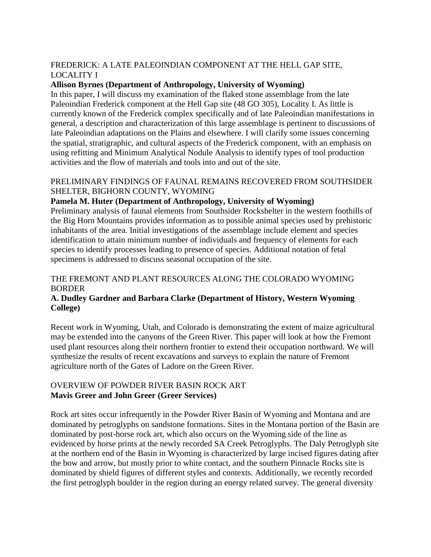## FREDERICK: A LATE PALEOINDIAN COMPONENT AT THE HELL GAP SITE, LOCALITY I

#### **Allison Byrnes (Department of Anthropology, University of Wyoming)**

In this paper, I will discuss my examination of the flaked stone assemblage from the late Paleoindian Frederick component at the Hell Gap site (48 GO 305), Locality I. As little is currently known of the Frederick complex specifically and of late Paleoindian manifestations in general, a description and characterization of this large assemblage is pertinent to discussions of late Paleoindian adaptations on the Plains and elsewhere. I will clarify some issues concerning the spatial, stratigraphic, and cultural aspects of the Frederick component, with an emphasis on using refitting and Minimum Analytical Nodule Analysis to identify types of tool production activities and the flow of materials and tools into and out of the site.

#### PRELIMINARY FINDINGS OF FAUNAL REMAINS RECOVERED FROM SOUTHSIDER SHELTER, BIGHORN COUNTY, WYOMING

## **Pamela M. Huter (Department of Anthropology, University of Wyoming)**

Preliminary analysis of faunal elements from Southsider Rockshelter in the western foothills of the Big Horn Mountains provides information as to possible animal species used by prehistoric inhabitants of the area. Initial investigations of the assemblage include element and species identification to attain minimum number of individuals and frequency of elements for each species to identify processes leading to presence of species. Additional notation of fetal specimens is addressed to discuss seasonal occupation of the site.

## THE FREMONT AND PLANT RESOURCES ALONG THE COLORADO WYOMING BORDER

## **A. Dudley Gardner and Barbara Clarke (Department of History, Western Wyoming College)**

Recent work in Wyoming, Utah, and Colorado is demonstrating the extent of maize agricultural may be extended into the canyons of the Green River. This paper will look at how the Fremont used plant resources along their northern frontier to extend their occupation northward. We will synthesize the results of recent excavations and surveys to explain the nature of Fremont agriculture north of the Gates of Ladore on the Green River.

## OVERVIEW OF POWDER RIVER BASIN ROCK ART **Mavis Greer and John Greer (Greer Services)**

Rock art sites occur infrequently in the Powder River Basin of Wyoming and Montana and are dominated by petroglyphs on sandstone formations. Sites in the Montana portion of the Basin are dominated by post-horse rock art, which also occurs on the Wyoming side of the line as evidenced by horse prints at the newly recorded SA Creek Petroglyphs. The Daly Petroglyph site at the northern end of the Basin in Wyoming is characterized by large incised figures dating after the bow and arrow, but mostly prior to white contact, and the southern Pinnacle Rocks site is dominated by shield figures of different styles and contexts. Additionally, we recently recorded the first petroglyph boulder in the region during an energy related survey. The general diversity